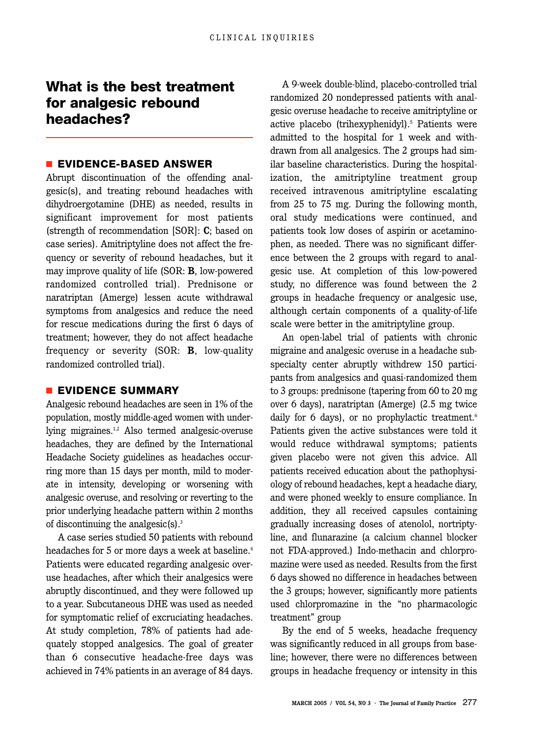# **What is the best treatment for analgesic rebound headaches?**

## ■ **EVIDENCE-BASED ANSWER**

Abrupt discontinuation of the offending analgesic(s), and treating rebound headaches with dihydroergotamine (DHE) as needed, results in significant improvement for most patients (strength of recommendation [SOR]: **C**; based on case series). Amitriptyline does not affect the frequency or severity of rebound headaches, but it may improve quality of life (SOR: **B**, low-powered randomized controlled trial). Prednisone or naratriptan (Amerge) lessen acute withdrawal symptoms from analgesics and reduce the need for rescue medications during the first 6 days of treatment; however, they do not affect headache frequency or severity (SOR: **B**, low-quality randomized controlled trial).

## ■ **EVIDENCE SUMMARY**

Analgesic rebound headaches are seen in 1% of the population, mostly middle-aged women with underlying migraines.<sup>1,2</sup> Also termed analgesic-overuse headaches, they are defined by the International Headache Society guidelines as headaches occurring more than 15 days per month, mild to moderate in intensity, developing or worsening with analgesic overuse, and resolving or reverting to the prior underlying headache pattern within 2 months of discontinuing the analgesic(s). $3^3$ 

A case series studied 50 patients with rebound headaches for 5 or more days a week at baseline.<sup>4</sup> Patients were educated regarding analgesic overuse headaches, after which their analgesics were abruptly discontinued, and they were followed up to a year. Subcutaneous DHE was used as needed for symptomatic relief of excruciating headaches. At study completion, 78% of patients had adequately stopped analgesics. The goal of greater than 6 consecutive headache-free days was achieved in 74% patients in an average of 84 days.

A 9-week double-blind, placebo-controlled trial randomized 20 nondepressed patients with analgesic overuse headache to receive amitriptyline or active placebo (trihexyphenidyl).<sup>5</sup> Patients were admitted to the hospital for 1 week and withdrawn from all analgesics. The 2 groups had similar baseline characteristics. During the hospitalization, the amitriptyline treatment group received intravenous amitriptyline escalating from 25 to 75 mg. During the following month, oral study medications were continued, and patients took low doses of aspirin or acetaminophen, as needed. There was no significant difference between the 2 groups with regard to analgesic use. At completion of this low-powered study, no difference was found between the 2 groups in headache frequency or analgesic use, although certain components of a quality-of-life scale were better in the amitriptyline group.

An open-label trial of patients with chronic migraine and analgesic overuse in a headache subspecialty center abruptly withdrew 150 participants from analgesics and quasi-randomized them to 3 groups: prednisone (tapering from 60 to 20 mg over 6 days), naratriptan (Amerge) (2.5 mg twice daily for 6 days), or no prophylactic treatment.<sup>6</sup> Patients given the active substances were told it would reduce withdrawal symptoms; patients given placebo were not given this advice. All patients received education about the pathophysiology of rebound headaches, kept a headache diary, and were phoned weekly to ensure compliance. In addition, they all received capsules containing gradually increasing doses of atenolol, nortriptyline, and flunarazine (a calcium channel blocker not FDA-approved.) Indo-methacin and chlorpromazine were used as needed. Results from the first 6 days showed no difference in headaches between the 3 groups; however, significantly more patients used chlorpromazine in the "no pharmacologic treatment" group

By the end of 5 weeks, headache frequency was significantly reduced in all groups from baseline; however, there were no differences between groups in headache frequency or intensity in this